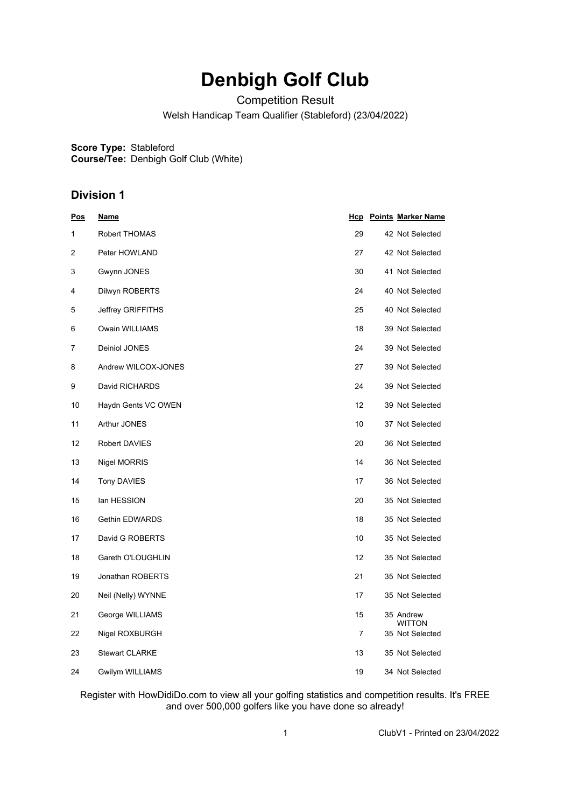## **Denbigh Golf Club**

Competition Result

Welsh Handicap Team Qualifier (Stableford) (23/04/2022)

**Score Type:** Stableford **Course/Tee:** Denbigh Golf Club (White)

## **Division 1**

| Pos            | <u>Name</u>           |                | <b>Hcp</b> Points Marker Name |
|----------------|-----------------------|----------------|-------------------------------|
| 1              | Robert THOMAS         | 29             | 42 Not Selected               |
| $\overline{2}$ | Peter HOWLAND         | 27             | 42 Not Selected               |
| 3              | Gwynn JONES           | 30             | 41 Not Selected               |
| 4              | Dilwyn ROBERTS        | 24             | 40 Not Selected               |
| 5              | Jeffrey GRIFFITHS     | 25             | 40 Not Selected               |
| 6              | Owain WILLIAMS        | 18             | 39 Not Selected               |
| 7              | Deiniol JONES         | 24             | 39 Not Selected               |
| 8              | Andrew WILCOX-JONES   | 27             | 39 Not Selected               |
| 9              | David RICHARDS        | 24             | 39 Not Selected               |
| 10             | Haydn Gents VC OWEN   | 12             | 39 Not Selected               |
| 11             | Arthur JONES          | 10             | 37 Not Selected               |
| 12             | <b>Robert DAVIES</b>  | 20             | 36 Not Selected               |
| 13             | <b>Nigel MORRIS</b>   | 14             | 36 Not Selected               |
| 14             | <b>Tony DAVIES</b>    | 17             | 36 Not Selected               |
| 15             | lan HESSION           | 20             | 35 Not Selected               |
| 16             | Gethin EDWARDS        | 18             | 35 Not Selected               |
| 17             | David G ROBERTS       | 10             | 35 Not Selected               |
| 18             | Gareth O'LOUGHLIN     | 12             | 35 Not Selected               |
| 19             | Jonathan ROBERTS      | 21             | 35 Not Selected               |
| 20             | Neil (Nelly) WYNNE    | 17             | 35 Not Selected               |
| 21             | George WILLIAMS       | 15             | 35 Andrew<br><b>WITTON</b>    |
| 22             | Nigel ROXBURGH        | $\overline{7}$ | 35 Not Selected               |
| 23             | <b>Stewart CLARKE</b> | 13             | 35 Not Selected               |
| 24             | Gwilym WILLIAMS       | 19             | 34 Not Selected               |

Register with HowDidiDo.com to view all your golfing statistics and competition results. It's FREE and over 500,000 golfers like you have done so already!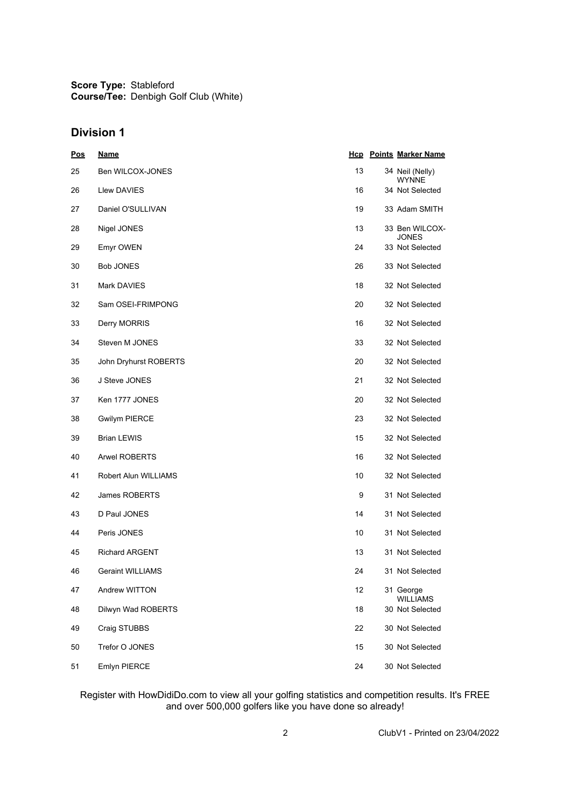**Score Type:** Stableford **Course/Tee:** Denbigh Golf Club (White)

## **Division 1**

| <b>Pos</b> | <u>Name</u>             |    | <b>Hcp</b> Points Marker Name      |
|------------|-------------------------|----|------------------------------------|
| 25         | Ben WILCOX-JONES        | 13 | 34 Neil (Nelly)<br><b>WYNNE</b>    |
| 26         | Llew DAVIES             | 16 | 34 Not Selected                    |
| 27         | Daniel O'SULLIVAN       | 19 | 33 Adam SMITH                      |
| 28         | Nigel JONES             | 13 | 33 Ben WILCOX-<br><b>JONES</b>     |
| 29         | <b>Emyr OWEN</b>        | 24 | 33 Not Selected                    |
| 30         | <b>Bob JONES</b>        | 26 | 33 Not Selected                    |
| 31         | <b>Mark DAVIES</b>      | 18 | 32 Not Selected                    |
| 32         | Sam OSEI-FRIMPONG       | 20 | 32 Not Selected                    |
| 33         | Derry MORRIS            | 16 | 32 Not Selected                    |
| 34         | Steven M JONES          | 33 | 32 Not Selected                    |
| 35         | John Dryhurst ROBERTS   | 20 | 32 Not Selected                    |
| 36         | J Steve JONES           | 21 | 32 Not Selected                    |
| 37         | Ken 1777 JONES          | 20 | 32 Not Selected                    |
| 38         | <b>Gwilym PIERCE</b>    | 23 | 32 Not Selected                    |
| 39         | <b>Brian LEWIS</b>      | 15 | 32 Not Selected                    |
| 40         | <b>Arwel ROBERTS</b>    | 16 | 32 Not Selected                    |
| 41         | Robert Alun WILLIAMS    | 10 | 32 Not Selected                    |
| 42         | James ROBERTS           | 9  | 31 Not Selected                    |
| 43         | D Paul JONES            | 14 | 31 Not Selected                    |
| 44         | Peris JONES             | 10 | 31 Not Selected                    |
| 45         | <b>Richard ARGENT</b>   | 13 | 31 Not Selected                    |
| 46         | <b>Geraint WILLIAMS</b> | 24 | 31 Not Selected                    |
| 47         | Andrew WITTON           | 12 | 31 George                          |
| 48         | Dilwyn Wad ROBERTS      | 18 | <b>WILLIAMS</b><br>30 Not Selected |
| 49         | Craig STUBBS            | 22 | 30 Not Selected                    |
| 50         | Trefor O JONES          | 15 | 30 Not Selected                    |
| 51         | Emlyn PIERCE            | 24 | 30 Not Selected                    |

Register with HowDidiDo.com to view all your golfing statistics and competition results. It's FREE and over 500,000 golfers like you have done so already!